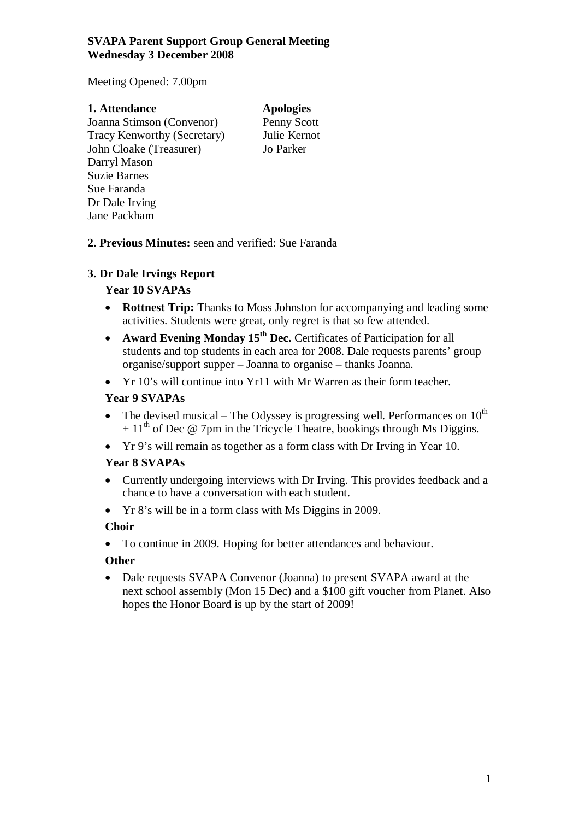### **SVAPA Parent Support Group General Meeting Wednesday 3 December 2008**

Meeting Opened: 7.00pm

#### **1. Attendance Apologies**  Joanna Stimson (Convenor) Penny Scott Tracy Kenworthy (Secretary) Julie Kernot John Cloake (Treasurer) Jo Parker Darryl Mason Suzie Barnes Sue Faranda Dr Dale Irving

**2. Previous Minutes:** seen and verified: Sue Faranda

# **3. Dr Dale Irvings Report**

Jane Packham

## **Year 10 SVAPAs**

- **Rottnest Trip:** Thanks to Moss Johnston for accompanying and leading some activities. Students were great, only regret is that so few attended.
- **Award Evening Monday 15th Dec.** Certificates of Participation for all students and top students in each area for 2008. Dale requests parents' group organise/support supper – Joanna to organise – thanks Joanna.
- Yr 10's will continue into Yr11 with Mr Warren as their form teacher.

## **Year 9 SVAPAs**

- The devised musical The Odyssey is progressing well. Performances on  $10^{th}$  $+ 11<sup>th</sup>$  of Dec @ 7pm in the Tricycle Theatre, bookings through Ms Diggins.
- Yr 9's will remain as together as a form class with Dr Irving in Year 10.

### **Year 8 SVAPAs**

- Currently undergoing interviews with Dr Irving. This provides feedback and a chance to have a conversation with each student.
- Yr 8's will be in a form class with Ms Diggins in 2009.

# **Choir**

• To continue in 2009. Hoping for better attendances and behaviour.

# **Other**

• Dale requests SVAPA Convenor (Joanna) to present SVAPA award at the next school assembly (Mon 15 Dec) and a \$100 gift voucher from Planet. Also hopes the Honor Board is up by the start of 2009!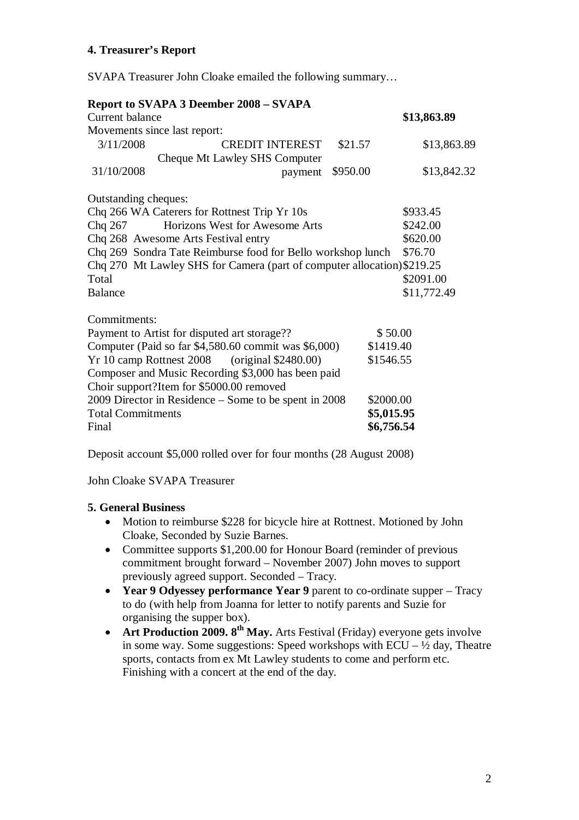## **4. Treasurer's Report**

SVAPA Treasurer John Cloake emailed the following summary…

|                                                                    | <b>Report to SVAPA 3 Deember 2008 – SVAPA</b>                           |            |             |
|--------------------------------------------------------------------|-------------------------------------------------------------------------|------------|-------------|
| Current balance                                                    |                                                                         |            | \$13,863.89 |
| Movements since last report:                                       |                                                                         |            |             |
| 3/11/2008                                                          | <b>CREDIT INTEREST</b>                                                  | \$21.57    | \$13,863.89 |
|                                                                    | Cheque Mt Lawley SHS Computer                                           |            |             |
| 31/10/2008                                                         | payment                                                                 | \$950.00   | \$13,842.32 |
| Outstanding cheques:                                               |                                                                         |            |             |
| Chq 266 WA Caterers for Rottnest Trip Yr 10s                       |                                                                         |            | \$933.45    |
| Horizons West for Awesome Arts<br>Chq 267                          |                                                                         |            | \$242.00    |
| Chq 268 Awesome Arts Festival entry                                |                                                                         |            | \$620.00    |
| Chq 269 Sondra Tate Reimburse food for Bello workshop lunch        |                                                                         |            | \$76.70     |
|                                                                    | Chq 270 Mt Lawley SHS for Camera (part of computer allocation) \$219.25 |            |             |
| Total                                                              |                                                                         |            | \$2091.00   |
| <b>Balance</b>                                                     |                                                                         |            | \$11,772.49 |
| Commitments:                                                       |                                                                         |            |             |
| \$50.00<br>Payment to Artist for disputed art storage??            |                                                                         |            |             |
| Computer (Paid so far \$4,580.60 commit was \$6,000)<br>\$1419.40  |                                                                         |            |             |
| Yr 10 camp Rottnest 2008 (original \$2480.00)<br>\$1546.55         |                                                                         |            |             |
|                                                                    | Composer and Music Recording \$3,000 has been paid                      |            |             |
| Choir support?Item for \$5000.00 removed                           |                                                                         |            |             |
| 2009 Director in Residence – Some to be spent in 2008<br>\$2000.00 |                                                                         |            |             |
| <b>Total Commitments</b>                                           |                                                                         | \$5,015.95 |             |
| Final                                                              |                                                                         | \$6,756.54 |             |

Deposit account \$5,000 rolled over for four months (28 August 2008)

John Cloake SVAPA Treasurer

#### **5. General Business**

- Motion to reimburse \$228 for bicycle hire at Rottnest. Motioned by John Cloake, Seconded by Suzie Barnes.
- Committee supports \$1,200.00 for Honour Board (reminder of previous commitment brought forward – November 2007) John moves to support previously agreed support. Seconded – Tracy.
- **Year 9 Odyessey performance Year 9** parent to co-ordinate supper Tracy to do (with help from Joanna for letter to notify parents and Suzie for organising the supper box).
- **Art Production 2009. 8<sup>th</sup> May.** Arts Festival (Friday) everyone gets involve in some way. Some suggestions: Speed workshops with  $ECU - \frac{1}{2}$  day, Theatre sports, contacts from ex Mt Lawley students to come and perform etc. Finishing with a concert at the end of the day.